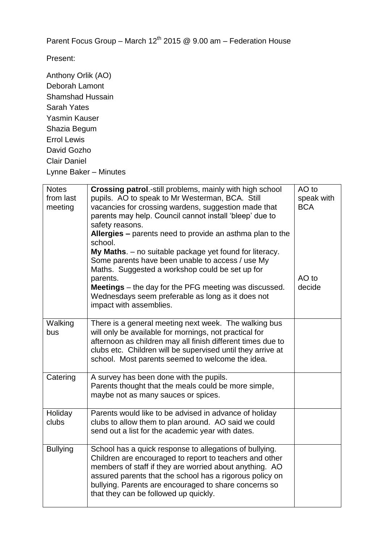Parent Focus Group – March  $12^{th}$  2015 @ 9.00 am – Federation House

Present:

Anthony Orlik (AO) Deborah Lamont Shamshad Hussain Sarah Yates Yasmin Kauser Shazia Begum Errol Lewis David Gozho Clair Daniel Lynne Baker – Minutes

| <b>Notes</b>    | Crossing patrol.-still problems, mainly with high school             | AO to      |
|-----------------|----------------------------------------------------------------------|------------|
| from last       | pupils. AO to speak to Mr Westerman, BCA. Still                      | speak with |
| meeting         | vacancies for crossing wardens, suggestion made that                 | <b>BCA</b> |
|                 | parents may help. Council cannot install 'bleep' due to              |            |
|                 | safety reasons.                                                      |            |
|                 | Allergies - parents need to provide an asthma plan to the<br>school. |            |
|                 | My Maths. - no suitable package yet found for literacy.              |            |
|                 | Some parents have been unable to access / use My                     |            |
|                 | Maths. Suggested a workshop could be set up for                      |            |
|                 | parents.                                                             | AO to      |
|                 | <b>Meetings</b> – the day for the PFG meeting was discussed.         | decide     |
|                 | Wednesdays seem preferable as long as it does not                    |            |
|                 | impact with assemblies.                                              |            |
| Walking         | There is a general meeting next week. The walking bus                |            |
| bus             | will only be available for mornings, not practical for               |            |
|                 | afternoon as children may all finish different times due to          |            |
|                 | clubs etc. Children will be supervised until they arrive at          |            |
|                 | school. Most parents seemed to welcome the idea.                     |            |
|                 |                                                                      |            |
| Catering        | A survey has been done with the pupils.                              |            |
|                 | Parents thought that the meals could be more simple,                 |            |
|                 | maybe not as many sauces or spices.                                  |            |
| Holiday         | Parents would like to be advised in advance of holiday               |            |
| clubs           | clubs to allow them to plan around. AO said we could                 |            |
|                 | send out a list for the academic year with dates.                    |            |
|                 |                                                                      |            |
| <b>Bullying</b> | School has a quick response to allegations of bullying.              |            |
|                 | Children are encouraged to report to teachers and other              |            |
|                 | members of staff if they are worried about anything. AO              |            |
|                 | assured parents that the school has a rigorous policy on             |            |
|                 | bullying. Parents are encouraged to share concerns so                |            |
|                 | that they can be followed up quickly.                                |            |
|                 |                                                                      |            |